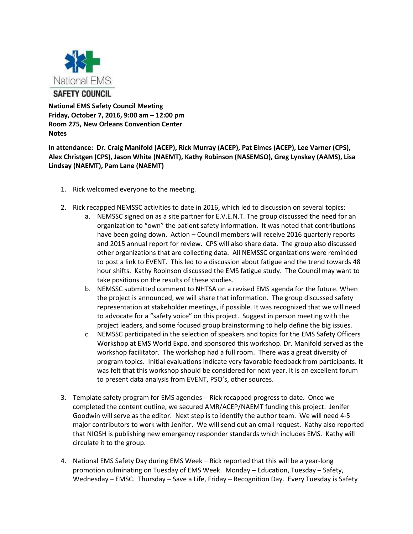

**National EMS Safety Council Meeting Friday, October 7, 2016, 9:00 am – 12:00 pm Room 275, New Orleans Convention Center Notes**

**In attendance: Dr. Craig Manifold (ACEP), Rick Murray (ACEP), Pat Elmes (ACEP), Lee Varner (CPS), Alex Christgen (CPS), Jason White (NAEMT), Kathy Robinson (NASEMSO), Greg Lynskey (AAMS), Lisa Lindsay (NAEMT), Pam Lane (NAEMT)**

- 1. Rick welcomed everyone to the meeting.
- 2. Rick recapped NEMSSC activities to date in 2016, which led to discussion on several topics:
	- a. NEMSSC signed on as a site partner for E.V.E.N.T. The group discussed the need for an organization to "own" the patient safety information. It was noted that contributions have been going down. Action – Council members will receive 2016 quarterly reports and 2015 annual report for review. CPS will also share data. The group also discussed other organizations that are collecting data. All NEMSSC organizations were reminded to post a link to EVENT. This led to a discussion about fatigue and the trend towards 48 hour shifts. Kathy Robinson discussed the EMS fatigue study. The Council may want to take positions on the results of these studies.
	- b. NEMSSC submitted comment to NHTSA on a revised EMS agenda for the future. When the project is announced, we will share that information. The group discussed safety representation at stakeholder meetings, if possible. It was recognized that we will need to advocate for a "safety voice" on this project. Suggest in person meeting with the project leaders, and some focused group brainstorming to help define the big issues.
	- c. NEMSSC participated in the selection of speakers and topics for the EMS Safety Officers Workshop at EMS World Expo, and sponsored this workshop. Dr. Manifold served as the workshop facilitator. The workshop had a full room. There was a great diversity of program topics. Initial evaluations indicate very favorable feedback from participants. It was felt that this workshop should be considered for next year. It is an excellent forum to present data analysis from EVENT, PSO's, other sources.
- 3. Template safety program for EMS agencies Rick recapped progress to date. Once we completed the content outline, we secured AMR/ACEP/NAEMT funding this project. Jenifer Goodwin will serve as the editor. Next step is to identify the author team. We will need 4-5 major contributors to work with Jenifer. We will send out an email request. Kathy also reported that NIOSH is publishing new emergency responder standards which includes EMS. Kathy will circulate it to the group.
- 4. National EMS Safety Day during EMS Week Rick reported that this will be a year-long promotion culminating on Tuesday of EMS Week. Monday – Education, Tuesday – Safety, Wednesday – EMSC. Thursday – Save a Life, Friday – Recognition Day. Every Tuesday is Safety